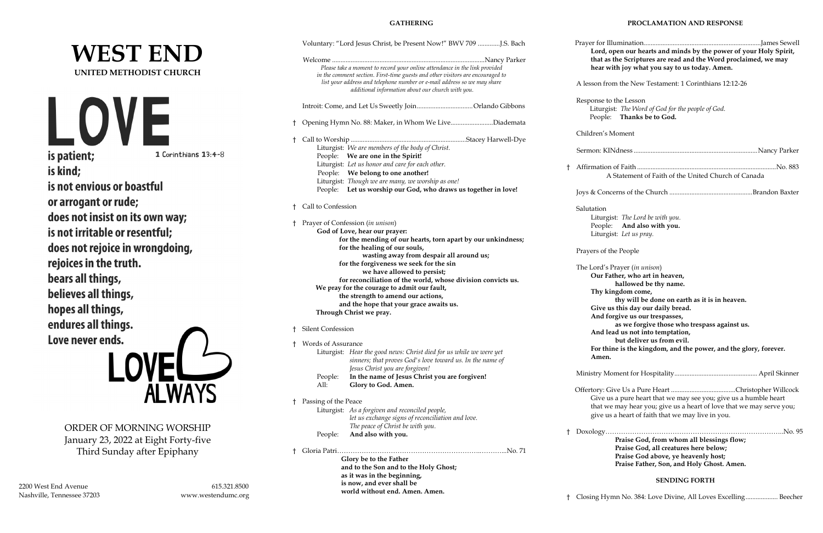# **WEST END UNITED METHODIST CHURCH**

LO is patient; 1 Corinthians 13:4-8 is kind; is not envious or boastful or arrogant or rude; does not insist on its own way; is not irritable or resentful; does not rejoice in wrongdoing, rejoices in the truth. bears all things, believes all things, hopes all things, endures all things. Love never ends. AYS

ORDER OF MORNING WORSHIP January 23, 2022 at Eight Forty-five Third Sunday after Epiphany

2200 West End Avenue 615.321.8500 Nashville, Tennessee 37203 [www.westendumc.org](http://www.westendumc.org/)

## **GATHERING**

|            | Voluntary: "Lord Jesus Christ, be Present Now!" BWV 709 J.S. Bach                                                                                            | Prayer for      |
|------------|--------------------------------------------------------------------------------------------------------------------------------------------------------------|-----------------|
|            |                                                                                                                                                              | Lord,           |
|            |                                                                                                                                                              | that a          |
|            | Please take a moment to record your online attendance in the link provided<br>in the comment section. First-time guests and other visitors are encouraged to | hear            |
|            | list your address and telephone number or e-mail address so we may share                                                                                     | A lesson f      |
|            | additional information about our church with you.                                                                                                            |                 |
|            |                                                                                                                                                              | Response        |
|            |                                                                                                                                                              | Liturg          |
|            | Opening Hymn No. 88: Maker, in Whom We LiveDiademata                                                                                                         | Peopl           |
| Ť          |                                                                                                                                                              |                 |
| Ť.         |                                                                                                                                                              | Children's      |
|            | Liturgist: We are members of the body of Christ.                                                                                                             |                 |
|            | People: We are one in the Spirit!                                                                                                                            | Sermon: K       |
|            | Liturgist: Let us honor and care for each other.                                                                                                             |                 |
|            | People: We belong to one another!                                                                                                                            | Affirmatic<br>Ť |
|            | Liturgist: Though we are many, we worship as one!                                                                                                            |                 |
|            | Let us worship our God, who draws us together in love!<br>People:                                                                                            |                 |
|            |                                                                                                                                                              | Joys & Co       |
| Ť          | Call to Confession                                                                                                                                           | Salutation      |
|            |                                                                                                                                                              | Litur           |
| t          | Prayer of Confession (in unison)                                                                                                                             | Peop            |
|            | God of Love, hear our prayer:                                                                                                                                | Litur           |
|            | for the mending of our hearts, torn apart by our unkindness;                                                                                                 |                 |
|            | for the healing of our souls,                                                                                                                                | Prayers of      |
|            | wasting away from despair all around us;                                                                                                                     |                 |
|            | for the forgiveness we seek for the sin                                                                                                                      | The Lord's      |
|            | we have allowed to persist;                                                                                                                                  | Our l           |
|            | for reconciliation of the world, whose division convicts us.                                                                                                 |                 |
|            | We pray for the courage to admit our fault,                                                                                                                  | Thy 1           |
|            | the strength to amend our actions,                                                                                                                           |                 |
|            | and the hope that your grace awaits us.                                                                                                                      | Give            |
|            | Through Christ we pray.                                                                                                                                      | And             |
| t.         | Silent Confession                                                                                                                                            | And             |
|            |                                                                                                                                                              |                 |
| $\ddagger$ | Words of Assurance                                                                                                                                           | For tl          |
|            | Liturgist: Hear the good news: Christ died for us while we were yet                                                                                          | Ame             |
|            | sinners; that proves God's love toward us. In the name of                                                                                                    |                 |
|            | Jesus Christ you are forgiven!                                                                                                                               | Ministry N      |
|            | In the name of Jesus Christ you are forgiven!<br>People:<br>All:<br>Glory to God. Amen.                                                                      |                 |
|            |                                                                                                                                                              | Offertory:      |
| Ť          | Passing of the Peace                                                                                                                                         | Give            |
|            | Liturgist: As a forgiven and reconciled people,                                                                                                              | that v          |
|            | let us exchange signs of reconciliation and love.                                                                                                            | give 1          |
|            | The peace of Christ be with you.                                                                                                                             |                 |
|            | People:<br>And also with you.                                                                                                                                | Doxology        |
|            |                                                                                                                                                              |                 |
| Ť          |                                                                                                                                                              |                 |
|            | Glory be to the Father                                                                                                                                       |                 |
|            | and to the Son and to the Holy Ghost;                                                                                                                        |                 |
|            | as it was in the beginning,<br>is now, and ever shall be                                                                                                     |                 |
|            | world without end. Amen. Amen.                                                                                                                               |                 |
|            |                                                                                                                                                              |                 |

#### **PROCLAMATION AND RESPONSE**

|            | Lord, open our hearts and minds by the power of your Holy Spirit,<br>that as the Scriptures are read and the Word proclaimed, we may<br>hear with joy what you say to us today. Amen.                                                                                                                                                                                                                                               |
|------------|-------------------------------------------------------------------------------------------------------------------------------------------------------------------------------------------------------------------------------------------------------------------------------------------------------------------------------------------------------------------------------------------------------------------------------------|
|            | A lesson from the New Testament: 1 Corinthians 12:12-26                                                                                                                                                                                                                                                                                                                                                                             |
|            | Response to the Lesson<br>Liturgist: The Word of God for the people of God.<br>People: Thanks be to God.                                                                                                                                                                                                                                                                                                                            |
|            | Children's Moment                                                                                                                                                                                                                                                                                                                                                                                                                   |
|            |                                                                                                                                                                                                                                                                                                                                                                                                                                     |
| $^\dagger$ | A Statement of Faith of the United Church of Canada                                                                                                                                                                                                                                                                                                                                                                                 |
|            |                                                                                                                                                                                                                                                                                                                                                                                                                                     |
|            | Salutation<br>Liturgist: The Lord be with you.<br>People: And also with you.<br>Liturgist: Let us pray.                                                                                                                                                                                                                                                                                                                             |
|            | Prayers of the People                                                                                                                                                                                                                                                                                                                                                                                                               |
|            | The Lord's Prayer (in unison)<br>Our Father, who art in heaven,<br>hallowed be thy name.<br>Thy kingdom come,<br>thy will be done on earth as it is in heaven.<br>Give us this day our daily bread.<br>And forgive us our trespasses,<br>as we forgive those who trespass against us.<br>And lead us not into temptation,<br>but deliver us from evil.<br>For thine is the kingdom, and the power, and the glory, forever.<br>Amen. |
|            |                                                                                                                                                                                                                                                                                                                                                                                                                                     |
|            | Give us a pure heart that we may see you; give us a humble heart<br>that we may hear you; give us a heart of love that we may serve you;<br>give us a heart of faith that we may live in you.                                                                                                                                                                                                                                       |
| Ť          | Praise God, from whom all blessings flow;<br>Praise God, all creatures here below;<br>Praise God above, ye heavenly host;<br>Praise Father, Son, and Holy Ghost. Amen.<br><b>SENDING FORTH</b>                                                                                                                                                                                                                                      |

† Closing Hymn No. 384: Love Divine, All Loves Excelling................... Beecher